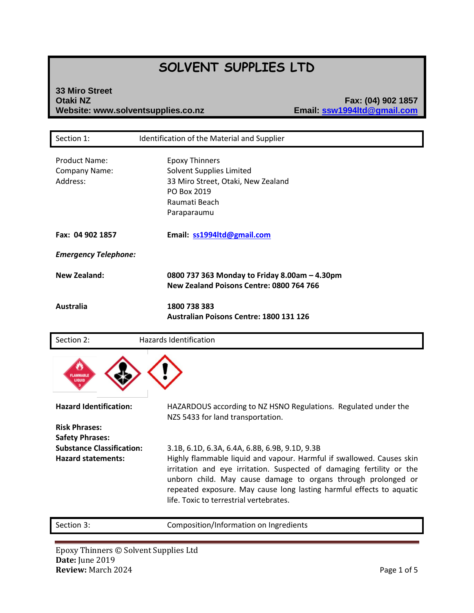# **SOLVENT SUPPLIES LTD**

#### **33 Miro Street Otaki NZ Fax: (04) 902 1857 Website: www.solventsupplies.co.nz**

| Section 1:                                        | Identification of the Material and Supplier                                                                                            |
|---------------------------------------------------|----------------------------------------------------------------------------------------------------------------------------------------|
| <b>Product Name:</b><br>Company Name:<br>Address: | <b>Epoxy Thinners</b><br>Solvent Supplies Limited<br>33 Miro Street, Otaki, New Zealand<br>PO Box 2019<br>Raumati Beach<br>Paraparaumu |
| Fax: 04 902 1857                                  | Email: ss1994Itd@gmail.com                                                                                                             |
| <b>Emergency Telephone:</b>                       |                                                                                                                                        |
| <b>New Zealand:</b>                               | 0800 737 363 Monday to Friday 8.00am - 4.30pm<br>New Zealand Poisons Centre: 0800 764 766                                              |
| <b>Australia</b>                                  | 1800 738 383<br>Australian Poisons Centre: 1800 131 126                                                                                |
|                                                   |                                                                                                                                        |
| Section 2:                                        | Hazards Identification                                                                                                                 |
|                                                   |                                                                                                                                        |
| <b>Hazard Identification:</b>                     | HAZARDOUS according to NZ HSNO Regulations. Regulated under the                                                                        |
| <b>Risk Phrases:</b><br><b>Safety Phrases:</b>    | NZS 5433 for land transportation.                                                                                                      |

Section 3: Composition/Information on Ingredients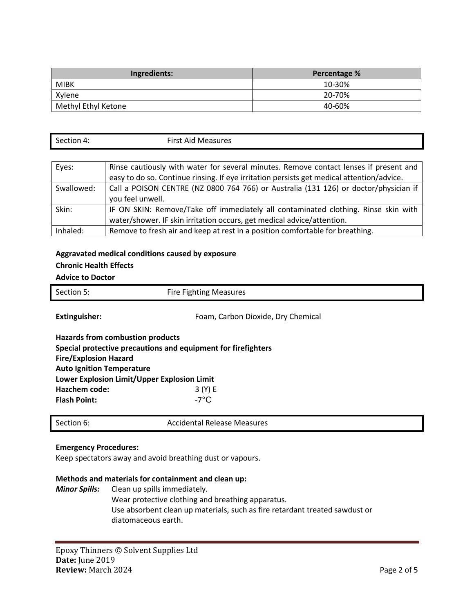| Ingredients:        | Percentage % |
|---------------------|--------------|
| <b>MIBK</b>         | 10-30%       |
| Xylene              | 20-70%       |
| Methyl Ethyl Ketone | 40-60%       |

| section $\Lambda$ | First Aid<br>Measures |
|-------------------|-----------------------|
|                   |                       |

| Eyes:      | Rinse cautiously with water for several minutes. Remove contact lenses if present and                                                                        |
|------------|--------------------------------------------------------------------------------------------------------------------------------------------------------------|
|            | easy to do so. Continue rinsing. If eye irritation persists get medical attention/advice.                                                                    |
| Swallowed: | Call a POISON CENTRE (NZ 0800 764 766) or Australia (131 126) or doctor/physician if                                                                         |
|            | you feel unwell.                                                                                                                                             |
| Skin:      | IF ON SKIN: Remove/Take off immediately all contaminated clothing. Rinse skin with<br>water/shower. IF skin irritation occurs, get medical advice/attention. |
| Inhaled:   | Remove to fresh air and keep at rest in a position comfortable for breathing.                                                                                |

### **Aggravated medical conditions caused by exposure**

## **Chronic Health Effects**

#### **Advice to Doctor**

| Section 5:                                                                                                                                                                                         | <b>Fire Fighting Measures</b>                                                  |
|----------------------------------------------------------------------------------------------------------------------------------------------------------------------------------------------------|--------------------------------------------------------------------------------|
| <b>Extinguisher:</b>                                                                                                                                                                               | Foam, Carbon Dioxide, Dry Chemical                                             |
| <b>Hazards from combustion products</b><br><b>Fire/Explosion Hazard</b><br><b>Auto Ignition Temperature</b><br>Lower Explosion Limit/Upper Explosion Limit<br>Hazchem code:<br><b>Flash Point:</b> | Special protective precautions and equipment for firefighters<br>3(Y)E<br>-7°C |

|--|

#### **Emergency Procedures:**

Keep spectators away and avoid breathing dust or vapours.

#### **Methods and materials for containment and clean up:**

*Minor Spills:* Clean up spills immediately. Wear protective clothing and breathing apparatus. Use absorbent clean up materials, such as fire retardant treated sawdust or diatomaceous earth.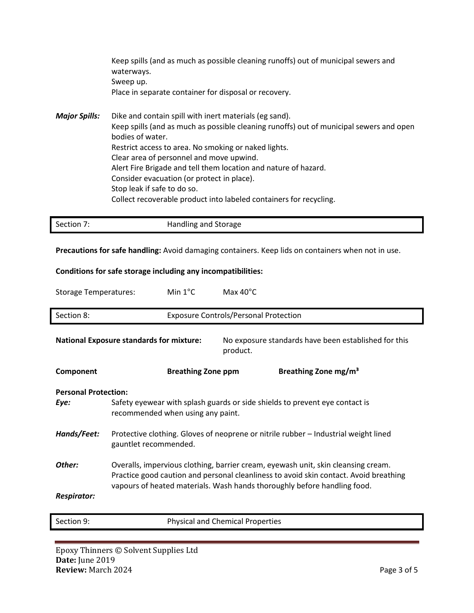|               | Keep spills (and as much as possible cleaning runoffs) out of municipal sewers and<br>waterways.                      |
|---------------|-----------------------------------------------------------------------------------------------------------------------|
|               | Sweep up.                                                                                                             |
|               | Place in separate container for disposal or recovery.                                                                 |
| Major Spills: | Dike and contain spill with inert materials (eg sand).                                                                |
|               | Keep spills (and as much as possible cleaning runoffs) out of municipal sewers and open                               |
|               | bodies of water.                                                                                                      |
|               | Restrict access to area. No smoking or naked lights.                                                                  |
|               | Clear area of personnel and move upwind.                                                                              |
|               | Alert Fire Brigade and tell them location and nature of hazard.                                                       |
|               | <u>in the set of the set of the set of the set of the set of the set of the set of the set of the set of the set </u> |

Consider evacuation (or protect in place).

Stop leak if safe to do so.

Collect recoverable product into labeled containers for recycling.

| Section 7: | Handling and Storage |  |
|------------|----------------------|--|

**Precautions for safe handling:** Avoid damaging containers. Keep lids on containers when not in use.

#### **Conditions for safe storage including any incompatibilities:**

| <b>Storage Temperatures:</b>        |                                                                                                                                                                                                                                                        | Min $1^{\circ}$ C         | Max $40^{\circ}$ C                           |                                                                             |
|-------------------------------------|--------------------------------------------------------------------------------------------------------------------------------------------------------------------------------------------------------------------------------------------------------|---------------------------|----------------------------------------------|-----------------------------------------------------------------------------|
| Section 8:                          |                                                                                                                                                                                                                                                        |                           | <b>Exposure Controls/Personal Protection</b> |                                                                             |
|                                     | <b>National Exposure standards for mixture:</b>                                                                                                                                                                                                        |                           | product.                                     | No exposure standards have been established for this                        |
| Component                           |                                                                                                                                                                                                                                                        | <b>Breathing Zone ppm</b> |                                              | Breathing Zone mg/m <sup>3</sup>                                            |
| <b>Personal Protection:</b><br>Eye: | recommended when using any paint.                                                                                                                                                                                                                      |                           |                                              | Safety eyewear with splash guards or side shields to prevent eye contact is |
| Hands/Feet:                         | Protective clothing. Gloves of neoprene or nitrile rubber - Industrial weight lined<br>gauntlet recommended.                                                                                                                                           |                           |                                              |                                                                             |
| Other:                              | Overalls, impervious clothing, barrier cream, eyewash unit, skin cleansing cream.<br>Practice good caution and personal cleanliness to avoid skin contact. Avoid breathing<br>vapours of heated materials. Wash hands thoroughly before handling food. |                           |                                              |                                                                             |
| <b>Respirator:</b>                  |                                                                                                                                                                                                                                                        |                           |                                              |                                                                             |
| Section 9:                          |                                                                                                                                                                                                                                                        |                           | <b>Physical and Chemical Properties</b>      |                                                                             |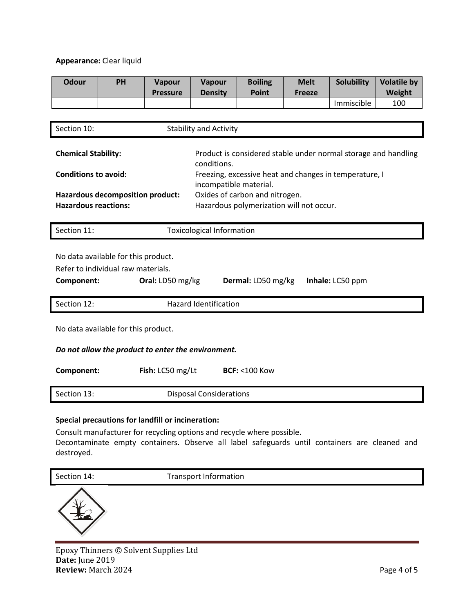#### **Appearance:** Clear liquid

| <b>Odour</b>                                       | PH                                                                        | <b>Vapour</b><br><b>Pressure</b> | Vapour<br><b>Density</b>                                                         | <b>Boiling</b><br><b>Point</b>                                             | <b>Melt</b><br><b>Freeze</b> | <b>Solubility</b>                                              | <b>Volatile by</b><br>Weight |
|----------------------------------------------------|---------------------------------------------------------------------------|----------------------------------|----------------------------------------------------------------------------------|----------------------------------------------------------------------------|------------------------------|----------------------------------------------------------------|------------------------------|
|                                                    |                                                                           |                                  |                                                                                  |                                                                            |                              | Immiscible                                                     | 100                          |
|                                                    |                                                                           |                                  |                                                                                  |                                                                            |                              |                                                                |                              |
| Section 10:                                        |                                                                           |                                  | <b>Stability and Activity</b>                                                    |                                                                            |                              |                                                                |                              |
| <b>Chemical Stability:</b>                         |                                                                           |                                  | conditions.                                                                      |                                                                            |                              | Product is considered stable under normal storage and handling |                              |
| <b>Conditions to avoid:</b>                        |                                                                           |                                  | Freezing, excessive heat and changes in temperature, I<br>incompatible material. |                                                                            |                              |                                                                |                              |
| <b>Hazardous reactions:</b>                        | Hazardous decomposition product:                                          |                                  |                                                                                  | Oxides of carbon and nitrogen.<br>Hazardous polymerization will not occur. |                              |                                                                |                              |
| Section 11:                                        |                                                                           |                                  | <b>Toxicological Information</b>                                                 |                                                                            |                              |                                                                |                              |
|                                                    | No data available for this product.<br>Refer to individual raw materials. |                                  |                                                                                  |                                                                            |                              |                                                                |                              |
| Component:                                         |                                                                           | Oral: LD50 mg/kg                 |                                                                                  | Dermal: LD50 mg/kg                                                         |                              | Inhale: LC50 ppm                                               |                              |
| Section 12:                                        |                                                                           |                                  | <b>Hazard Identification</b>                                                     |                                                                            |                              |                                                                |                              |
| No data available for this product.                |                                                                           |                                  |                                                                                  |                                                                            |                              |                                                                |                              |
| Do not allow the product to enter the environment. |                                                                           |                                  |                                                                                  |                                                                            |                              |                                                                |                              |
| Component:                                         |                                                                           | Fish: LC50 mg/Lt                 |                                                                                  | <b>BCF: &lt;100 Kow</b>                                                    |                              |                                                                |                              |
| Section 13:                                        |                                                                           |                                  | <b>Disposal Considerations</b>                                                   |                                                                            |                              |                                                                |                              |
|                                                    |                                                                           |                                  |                                                                                  |                                                                            |                              |                                                                |                              |

#### **Special precautions for landfill or incineration:**

Consult manufacturer for recycling options and recycle where possible. Decontaminate empty containers. Observe all label safeguards until containers are cleaned and destroyed.

| Section 14:            | <b>Transport Information</b> |  |
|------------------------|------------------------------|--|
| $\mathcal{A}^{\prime}$ |                              |  |



Epoxy Thinners © Solvent Supplies Ltd **Date:** June 2019 **Review:** March 2024 **Page 4 of 5**